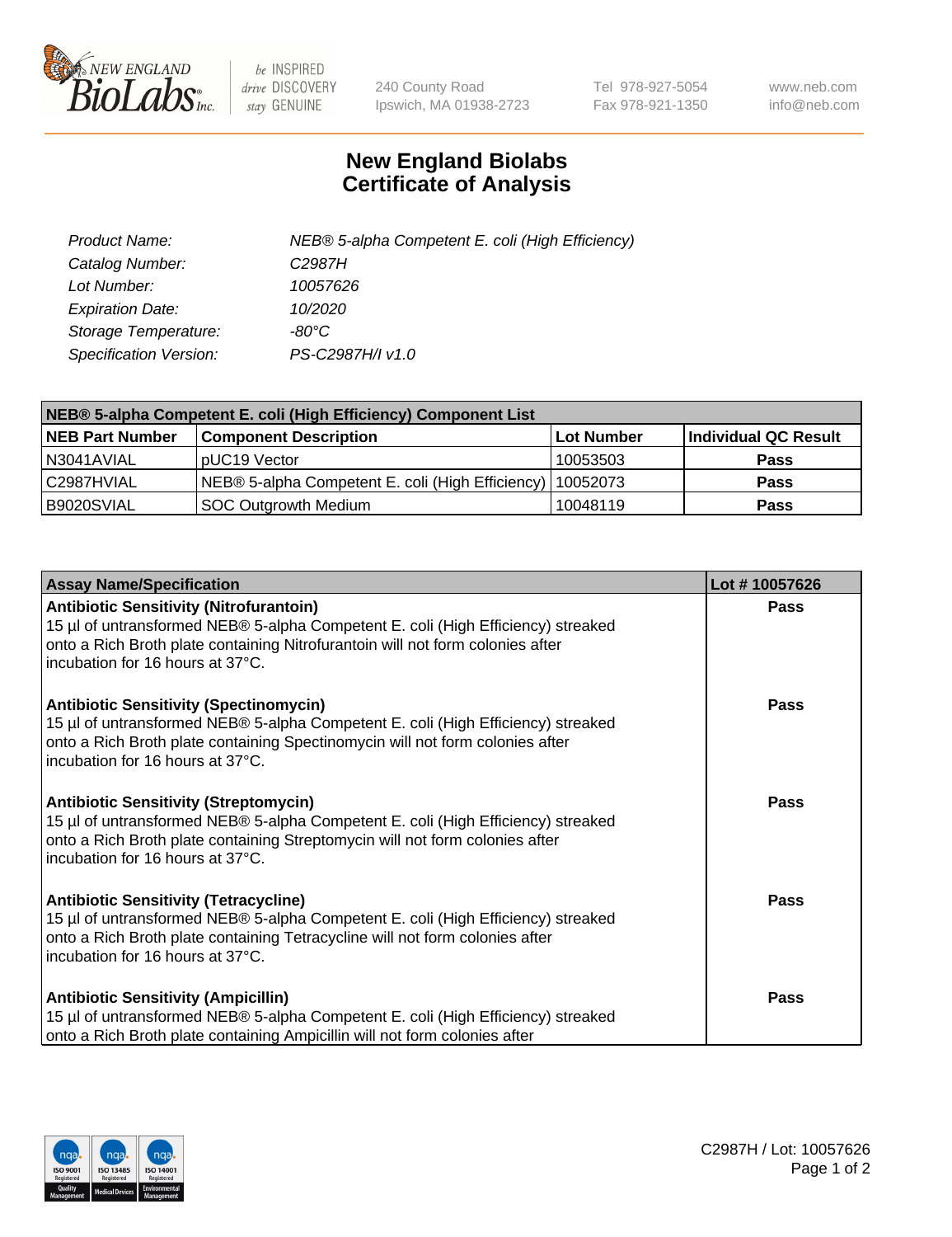

 $be$  INSPIRED drive DISCOVERY stay GENUINE

240 County Road Ipswich, MA 01938-2723 Tel 978-927-5054 Fax 978-921-1350 www.neb.com info@neb.com

## **New England Biolabs Certificate of Analysis**

| Product Name:           | NEB® 5-alpha Competent E. coli (High Efficiency) |
|-------------------------|--------------------------------------------------|
| Catalog Number:         | C <sub>2987</sub> H                              |
| Lot Number:             | 10057626                                         |
| <b>Expiration Date:</b> | 10/2020                                          |
| Storage Temperature:    | -80°C                                            |
| Specification Version:  | PS-C2987H/I v1.0                                 |

| NEB® 5-alpha Competent E. coli (High Efficiency) Component List |                                                  |            |                      |  |
|-----------------------------------------------------------------|--------------------------------------------------|------------|----------------------|--|
| <b>NEB Part Number</b>                                          | <b>Component Description</b>                     | Lot Number | Individual QC Result |  |
| N3041AVIAL                                                      | pUC19 Vector                                     | 10053503   | <b>Pass</b>          |  |
| C2987HVIAL                                                      | NEB® 5-alpha Competent E. coli (High Efficiency) | 10052073   | <b>Pass</b>          |  |
| B9020SVIAL                                                      | <b>SOC Outgrowth Medium</b>                      | 10048119   | <b>Pass</b>          |  |

| <b>Assay Name/Specification</b>                                                                                                                                                                                                                          | Lot #10057626 |
|----------------------------------------------------------------------------------------------------------------------------------------------------------------------------------------------------------------------------------------------------------|---------------|
| <b>Antibiotic Sensitivity (Nitrofurantoin)</b><br>15 µl of untransformed NEB® 5-alpha Competent E. coli (High Efficiency) streaked<br>onto a Rich Broth plate containing Nitrofurantoin will not form colonies after<br>incubation for 16 hours at 37°C. | Pass          |
| <b>Antibiotic Sensitivity (Spectinomycin)</b><br>15 µl of untransformed NEB® 5-alpha Competent E. coli (High Efficiency) streaked<br>onto a Rich Broth plate containing Spectinomycin will not form colonies after<br>incubation for 16 hours at 37°C.   | Pass          |
| <b>Antibiotic Sensitivity (Streptomycin)</b><br>15 µl of untransformed NEB® 5-alpha Competent E. coli (High Efficiency) streaked<br>onto a Rich Broth plate containing Streptomycin will not form colonies after<br>incubation for 16 hours at 37°C.     | Pass          |
| <b>Antibiotic Sensitivity (Tetracycline)</b><br>15 µl of untransformed NEB® 5-alpha Competent E. coli (High Efficiency) streaked<br>onto a Rich Broth plate containing Tetracycline will not form colonies after<br>incubation for 16 hours at 37°C.     | Pass          |
| <b>Antibiotic Sensitivity (Ampicillin)</b><br>15 µl of untransformed NEB® 5-alpha Competent E. coli (High Efficiency) streaked<br>onto a Rich Broth plate containing Ampicillin will not form colonies after                                             | Pass          |